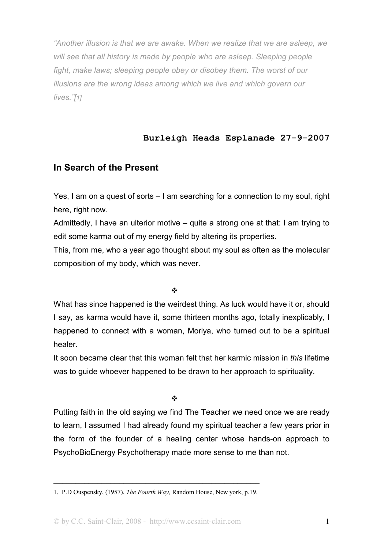*"Another illusion is that we are awake. When we realize that we are asleep, we will see that all history is made by people who are asleep. Sleeping people fight, make laws; sleeping people obey or disobey them. The worst of our illusions are the wrong ideas among which we live and which govern our lives."[1]*

## **Burleigh Heads Esplanade 27-9-2007**

## **In Search of the Present**

Yes, I am on a quest of sorts – I am searching for a connection to my soul, right here, right now.

Admittedly, I have an ulterior motive – quite a strong one at that: I am trying to edit some karma out of my energy field by altering its properties.

This, from me, who a year ago thought about my soul as often as the molecular composition of my body, which was never.

 $\frac{1}{2}$ 

What has since happened is the weirdest thing. As luck would have it or, should I say, as karma would have it, some thirteen months ago, totally inexplicably, I happened to connect with a woman, Moriya, who turned out to be a spiritual healer.

It soon became clear that this woman felt that her karmic mission in *this* lifetime was to guide whoever happened to be drawn to her approach to spirituality.

 $\cdot$ 

Putting faith in the old saying we find The Teacher we need once we are ready to learn, I assumed I had already found my spiritual teacher a few years prior in the form of the founder of a healing center whose hands-on approach to PsychoBioEnergy Psychotherapy made more sense to me than not.

 $\mathcal{L}_\text{max}$  , which is a set of the set of the set of the set of the set of the set of the set of the set of the set of the set of the set of the set of the set of the set of the set of the set of the set of the set of

<sup>1.</sup> P.D Ouspensky, (1957), *The Fourth Way,* Random House, New york, p.19.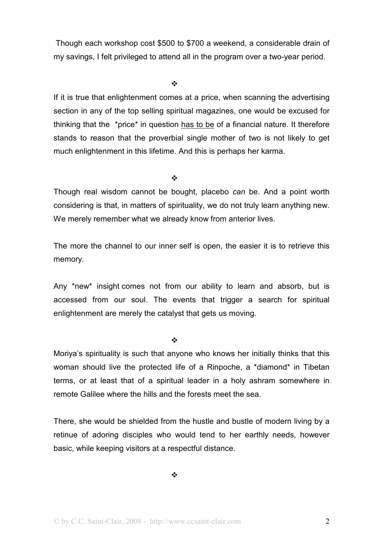Though each workshop cost \$500 to \$700 a weekend, a considerable drain of my savings, I felt privileged to attend all in the program over a two-year period.

 $\frac{1}{2}$ 

If it is true that enlightenment comes at a price, when scanning the advertising section in any of the top selling spiritual magazines, one would be excused for thinking that the \*price\* in question has to be of a financial nature. It therefore stands to reason that the proverbial single mother of two is not likely to get much enlightenment in this lifetime. And this is perhaps her karma.

 $\frac{1}{2}$ 

Though real wisdom cannot be bought, placebo *can* be. And a point worth considering is that, in matters of spirituality, we do not truly learn anything new. We merely remember what we already know from anterior lives.

The more the channel to our inner self is open, the easier it is to retrieve this memory.

Any \*new\* insight comes not from our ability to learn and absorb, but is accessed from our soul. The events that trigger a search for spiritual enlightenment are merely the catalyst that gets us moving.

 $\frac{1}{2}$ 

Moriya's spirituality is such that anyone who knows her initially thinks that this woman should live the protected life of a Rinpoche, a \*diamond\* in Tibetan terms, or at least that of a spiritual leader in a holy ashram somewhere in remote Galilee where the hills and the forests meet the sea.

There, she would be shielded from the hustle and bustle of modern living by a retinue of adoring disciples who would tend to her earthly needs, however basic, while keeping visitors at a respectful distance.

 $\ddot{\cdot}$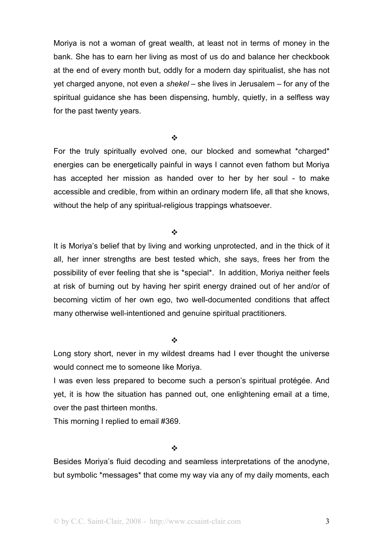Moriya is not a woman of great wealth, at least not in terms of money in the bank. She has to earn her living as most of us do and balance her checkbook at the end of every month but, oddly for a modern day spiritualist, she has not yet charged anyone, not even a *shekel* – she lives in Jerusalem – for any of the spiritual guidance she has been dispensing, humbly, quietly, in a selfless way for the past twenty years.

 $\frac{1}{2}$ 

For the truly spiritually evolved one, our blocked and somewhat \*charged\* energies can be energetically painful in ways I cannot even fathom but Moriya has accepted her mission as handed over to her by her soul - to make accessible and credible, from within an ordinary modern life, all that she knows, without the help of any spiritual-religious trappings whatsoever.

### $\ddot{\cdot}$

It is Moriya's belief that by living and working unprotected, and in the thick of it all, her inner strengths are best tested which, she says, frees her from the possibility of ever feeling that she is \*special\*. In addition, Moriya neither feels at risk of burning out by having her spirit energy drained out of her and/or of becoming victim of her own ego, two well-documented conditions that affect many otherwise well-intentioned and genuine spiritual practitioners.

## $\mathbf{r}$

Long story short, never in my wildest dreams had I ever thought the universe would connect me to someone like Moriya.

I was even less prepared to become such a person's spiritual protégée. And yet, it is how the situation has panned out, one enlightening email at a time, over the past thirteen months.

This morning I replied to email #369.

 $\frac{1}{2}$ 

Besides Moriya's fluid decoding and seamless interpretations of the anodyne, but symbolic \*messages\* that come my way via any of my daily moments, each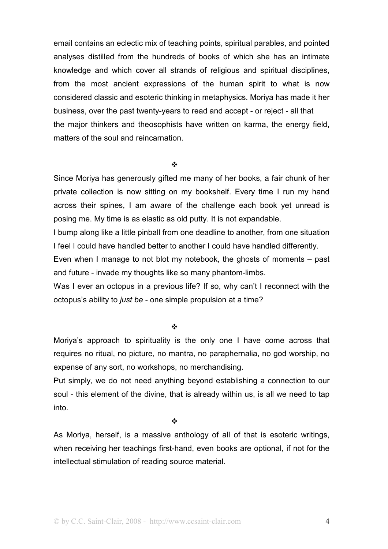email contains an eclectic mix of teaching points, spiritual parables, and pointed analyses distilled from the hundreds of books of which she has an intimate knowledge and which cover all strands of religious and spiritual disciplines, from the most ancient expressions of the human spirit to what is now considered classic and esoteric thinking in metaphysics. Moriya has made it her business, over the past twenty-years to read and accept - or reject - all that the major thinkers and theosophists have written on karma, the energy field, matters of the soul and reincarnation.

 $\frac{1}{2}$ 

Since Moriya has generously gifted me many of her books, a fair chunk of her private collection is now sitting on my bookshelf. Every time I run my hand across their spines, I am aware of the challenge each book yet unread is posing me. My time is as elastic as old putty. It is not expandable.

I bump along like a little pinball from one deadline to another, from one situation I feel I could have handled better to another I could have handled differently.

Even when I manage to not blot my notebook, the ghosts of moments – past and future - invade my thoughts like so many phantom-limbs.

Was I ever an octopus in a previous life? If so, why can't I reconnect with the octopus's ability to *just be* - one simple propulsion at a time?

 $\frac{1}{2}$ 

Moriya's approach to spirituality is the only one I have come across that requires no ritual, no picture, no mantra, no paraphernalia, no god worship, no expense of any sort, no workshops, no merchandising.

Put simply, we do not need anything beyond establishing a connection to our soul - this element of the divine, that is already within us, is all we need to tap into.

 $\frac{1}{2}$ 

As Moriya, herself, is a massive anthology of all of that is esoteric writings, when receiving her teachings first-hand, even books are optional, if not for the intellectual stimulation of reading source material.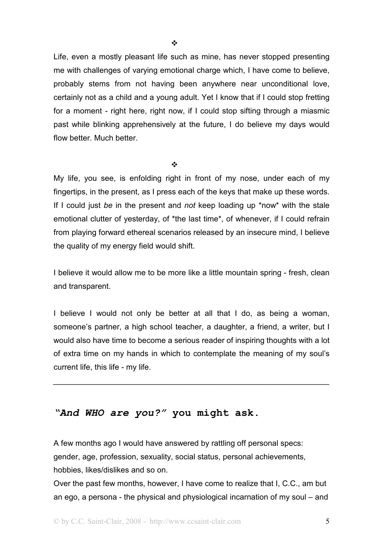Life, even a mostly pleasant life such as mine, has never stopped presenting me with challenges of varying emotional charge which, I have come to believe, probably stems from not having been anywhere near unconditional love, certainly not as a child and a young adult. Yet I know that if I could stop fretting for a moment - right here, right now, if I could stop sifting through a miasmic past while blinking apprehensively at the future, I do believe my days would flow better. Much better.

#### $\frac{1}{2}$

My life, you see, is enfolding right in front of my nose, under each of my fingertips, in the present, as I press each of the keys that make up these words. If I could just *be* in the present and *not* keep loading up \*now\* with the stale emotional clutter of yesterday, of \*the last time\*, of whenever, if I could refrain from playing forward ethereal scenarios released by an insecure mind, I believe the quality of my energy field would shift.

I believe it would allow me to be more like a little mountain spring - fresh, clean and transparent.

I believe I would not only be better at all that I do, as being a woman, someone's partner, a high school teacher, a daughter, a friend, a writer, but I would also have time to become a serious reader of inspiring thoughts with a lot of extra time on my hands in which to contemplate the meaning of my soul's current life, this life - my life.

*\_\_\_\_\_\_\_\_\_\_\_\_\_\_\_\_\_\_\_\_\_\_\_\_\_\_\_\_\_\_\_\_\_\_\_\_\_\_\_\_\_\_\_\_\_\_\_\_\_\_\_\_\_\_\_\_\_\_\_\_\_\_\_* 

# *"And WHO are you?"* **you might ask.**

A few months ago I would have answered by rattling off personal specs: gender, age, profession, sexuality, social status, personal achievements, hobbies, likes/dislikes and so on.

Over the past few months, however, I have come to realize that I, C.C., am but an ego, a persona - the physical and physiological incarnation of my soul – and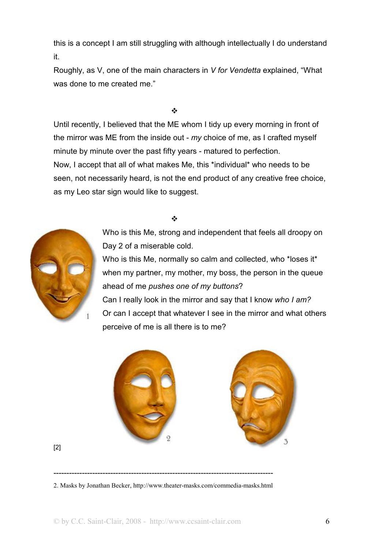this is a concept I am still struggling with although intellectually I do understand it.

Roughly, as V, one of the main characters in *V for Vendetta* explained, "What was done to me created me."

 $\frac{1}{2}$ 

Until recently, I believed that the ME whom I tidy up every morning in front of the mirror was ME from the inside out - *my* choice of me, as I crafted myself minute by minute over the past fifty years - matured to perfection. Now, I accept that all of what makes Me, this \*individual\* who needs to be seen, not necessarily heard, is not the end product of any creative free choice, as my Leo star sign would like to suggest.



## $\frac{1}{2}$

Who is this Me, strong and independent that feels all droopy on Day 2 of a miserable cold.

Who is this Me, normally so calm and collected, who \*loses it\* when my partner, my mother, my boss, the person in the queue ahead of me *pushes one of my buttons*?

Can I really look in the mirror and say that I know *who I am?*  Or can I accept that whatever I see in the mirror and what others perceive of me is all there is to me?



[2]

------------------------------------------------------------------------------------- 2. Masks by Jonathan Becker, http://www.theater-masks.com/commedia-masks.html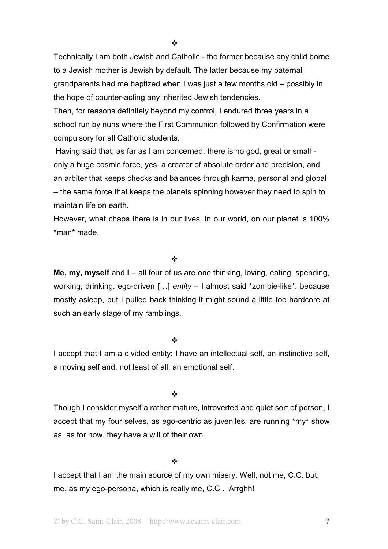Technically I am both Jewish and Catholic - the former because any child borne to a Jewish mother is Jewish by default. The latter because my paternal grandparents had me baptized when I was just a few months old – possibly in the hope of counter-acting any inherited Jewish tendencies.

Then, for reasons definitely beyond my control, I endured three years in a school run by nuns where the First Communion followed by Confirmation were compulsory for all Catholic students.

 Having said that, as far as I am concerned, there is no god, great or small only a huge cosmic force, yes, a creator of absolute order and precision, and an arbiter that keeps checks and balances through karma, personal and global – the same force that keeps the planets spinning however they need to spin to maintain life on earth.

However, what chaos there is in our lives, in our world, on our planet is 100% \*man\* made.

 $\frac{1}{2}$ 

**Me, my, myself** and **I** – all four of us are one thinking, loving, eating, spending, working, drinking, ego-driven […] *entity* – I almost said \*zombie-like\*, because mostly asleep, but I pulled back thinking it might sound a little too hardcore at such an early stage of my ramblings.

 $\cdot$ 

I accept that I am a divided entity: I have an intellectual self, an instinctive self, a moving self and, not least of all, an emotional self.

## $\frac{1}{2}$

Though I consider myself a rather mature, introverted and quiet sort of person, I accept that my four selves, as ego-centric as juveniles, are running \*my\* show as, as for now, they have a will of their own.

## $\frac{1}{2}$

I accept that I am the main source of my own misery. Well, not me, C.C. but, me, as my ego-persona, which is really me, C.C.. Arrghh!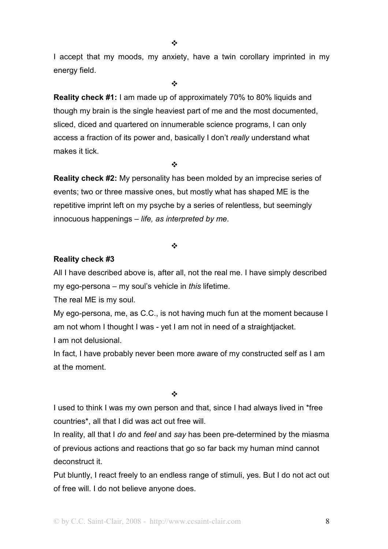I accept that my moods, my anxiety, have a twin corollary imprinted in my energy field.

 $\frac{1}{2}$ 

 $\frac{1}{2}$ 

**Reality check #1:** I am made up of approximately 70% to 80% liquids and though my brain is the single heaviest part of me and the most documented, sliced, diced and quartered on innumerable science programs, I can only access a fraction of its power and, basically I don't *really* understand what makes it tick.

 $\frac{1}{2}$ 

**Reality check #2:** My personality has been molded by an imprecise series of events; two or three massive ones, but mostly what has shaped ME is the repetitive imprint left on my psyche by a series of relentless, but seemingly innocuous happenings – *life, as interpreted by me*.

### $\frac{1}{2}$

## **Reality check #3**

All I have described above is, after all, not the real me. I have simply described my ego-persona – my soul's vehicle in *this* lifetime.

The real ME is my soul.

My ego-persona, me, as C.C., is not having much fun at the moment because I am not whom I thought I was - yet I am not in need of a straightjacket.

I am not delusional.

In fact, I have probably never been more aware of my constructed self as I am at the moment.

## $\frac{1}{2}$

I used to think I was my own person and that, since I had always lived in \*free countries\*, all that I did was act out free will.

In reality, all that I *do* and *feel* and *say* has been pre-determined by the miasma of previous actions and reactions that go so far back my human mind cannot deconstruct it.

Put bluntly, I react freely to an endless range of stimuli, yes. But I do not act out of free will. I do not believe anyone does.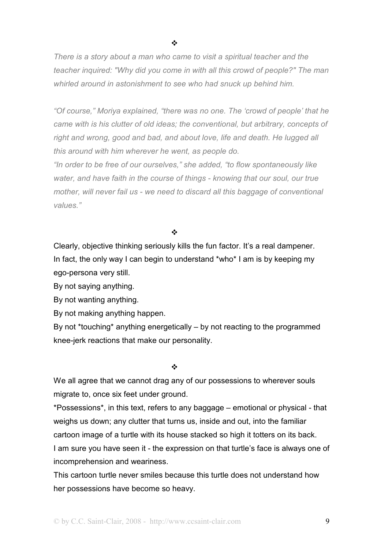*There is a story about a man who came to visit a spiritual teacher and the teacher inquired: "Why did you come in with all this crowd of people?" The man whirled around in astonishment to see who had snuck up behind him.* 

 $\mathbf{A}$ 

*"Of course," Moriya explained, "there was no one. The 'crowd of people' that he came with is his clutter of old ideas; the conventional, but arbitrary, concepts of right and wrong, good and bad, and about love, life and death. He lugged all this around with him wherever he went, as people do.* 

*"In order to be free of our ourselves," she added, "to flow spontaneously like water, and have faith in the course of things - knowing that our soul, our true mother, will never fail us - we need to discard all this baggage of conventional values."*

## $\ddot{\cdot}$

Clearly, objective thinking seriously kills the fun factor. It's a real dampener. In fact, the only way I can begin to understand \*who\* I am is by keeping my ego-persona very still.

By not saying anything.

By not wanting anything.

By not making anything happen.

By not \*touching\* anything energetically – by not reacting to the programmed knee-jerk reactions that make our personality.

## $\mathbf{A}$

We all agree that we cannot drag any of our possessions to wherever souls migrate to, once six feet under ground.

\*Possessions\*, in this text, refers to any baggage – emotional or physical - that weighs us down; any clutter that turns us, inside and out, into the familiar cartoon image of a turtle with its house stacked so high it totters on its back. I am sure you have seen it - the expression on that turtle's face is always one of incomprehension and weariness.

This cartoon turtle never smiles because this turtle does not understand how her possessions have become so heavy.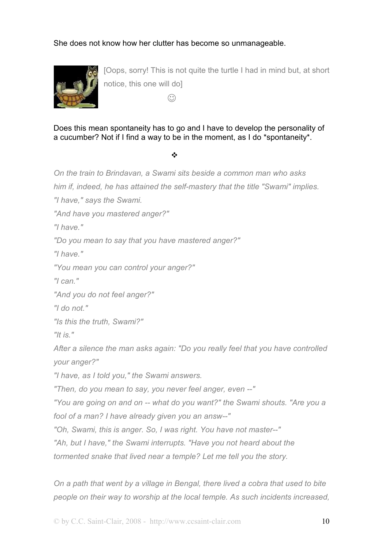## She does not know how her clutter has become so unmanageable.



[Oops, sorry! This is not quite the turtle I had in mind but, at short notice, this one will do]

 $\odot$ 

Does this mean spontaneity has to go and I have to develop the personality of a cucumber? Not if I find a way to be in the moment, as I do \*spontaneity\*.

#### $\mathbf{A}$

*On the train to Brindavan, a Swami sits beside a common man who asks* 

*him if, indeed, he has attained the self-mastery that the title "Swami" implies.* 

*"I have," says the Swami.* 

*"And have you mastered anger?"* 

*"I have."* 

*"Do you mean to say that you have mastered anger?"* 

*"I have."* 

*"You mean you can control your anger?"* 

*"I can."* 

*"And you do not feel anger?"* 

*"I do not."* 

*"Is this the truth, Swami?"* 

*"It is."* 

*After a silence the man asks again: "Do you really feel that you have controlled your anger?"* 

*"I have, as I told you," the Swami answers.* 

*"Then, do you mean to say, you never feel anger, even --"* 

*"You are going on and on -- what do you want?" the Swami shouts. "Are you a fool of a man? I have already given you an answ--"* 

*"Oh, Swami, this is anger. So, I was right. You have not master--"* 

*"Ah, but I have," the Swami interrupts. "Have you not heard about the* 

*tormented snake that lived near a temple? Let me tell you the story.* 

*On a path that went by a village in Bengal, there lived a cobra that used to bite people on their way to worship at the local temple. As such incidents increased,*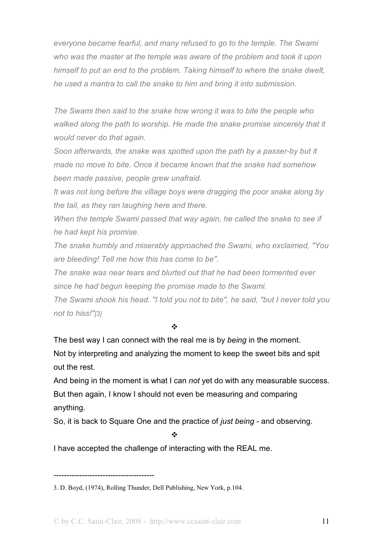*everyone became fearful, and many refused to go to the temple. The Swami who was the master at the temple was aware of the problem and took it upon himself to put an end to the problem. Taking himself to where the snake dwelt, he used a mantra to call the snake to him and bring it into submission.* 

*The Swami then said to the snake how wrong it was to bite the people who*  walked along the path to worship. He made the snake promise sincerely that it *would never do that again.* 

Soon afterwards, the snake was spotted upon the path by a passer-by but it *made no move to bite. Once it became known that the snake had somehow been made passive, people grew unafraid.* 

*It was not long before the village boys were dragging the poor snake along by the tail, as they ran laughing here and there.* 

*When the temple Swami passed that way again, he called the snake to see if he had kept his promise.* 

*The snake humbly and miserably approached the Swami, who exclaimed, "You are bleeding! Tell me how this has come to be".* 

*The snake was near tears and blurted out that he had been tormented ever since he had begun keeping the promise made to the Swami.* 

*The Swami shook his head. "I told you not to bite", he said, "but I never told you not to hiss!"[3]*

## $\frac{1}{2}$

The best way I can connect with the real me is by *being* in the moment. Not by interpreting and analyzing the moment to keep the sweet bits and spit out the rest.

And being in the moment is what I can *not* yet do with any measurable success. But then again, I know I should not even be measuring and comparing anything.

So, it is back to Square One and the practice of *just being* - and observing.

 $\mathbf{A}$ 

I have accepted the challenge of interacting with the REAL me.

## 3. D. Boyd, (1974), Rolling Thunder, Dell Publishing, New York, p.104.

---------------------------------------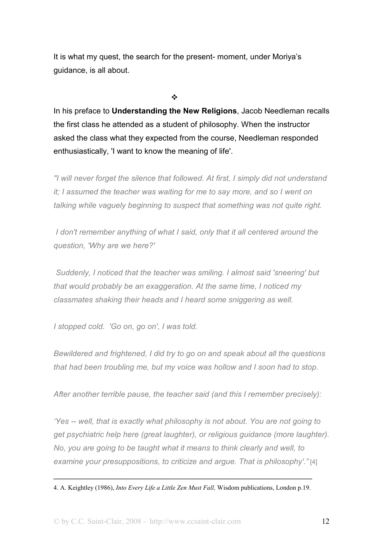It is what my quest, the search for the present- moment, under Moriya's guidance, is all about.

 $\frac{1}{2}$ 

In his preface to **Understanding the New Religions**, Jacob Needleman recalls the first class he attended as a student of philosophy. When the instructor asked the class what they expected from the course, Needleman responded enthusiastically, 'I want to know the meaning of life'.

*"I will never forget the silence that followed. At first, I simply did not understand it: I assumed the teacher was waiting for me to say more, and so I went on talking while vaguely beginning to suspect that something was not quite right.* 

*I don't remember anything of what I said, only that it all centered around the question, 'Why are we here?'* 

*Suddenly, I noticed that the teacher was smiling. I almost said 'sneering' but that would probably be an exaggeration. At the same time, I noticed my classmates shaking their heads and I heard some sniggering as well.* 

*I stopped cold. 'Go on, go on', I was told.* 

*Bewildered and frightened, I did try to go on and speak about all the questions that had been troubling me, but my voice was hollow and I soon had to stop.* 

*After another terrible pause, the teacher said (and this I remember precisely):* 

*'Yes -- well, that is exactly what philosophy is not about. You are not going to get psychiatric help here (great laughter), or religious guidance (more laughter). No, you are going to be taught what it means to think clearly and well, to examine your presuppositions, to criticize and argue. That is philosophy'."* [4]

4. A. Keightley (1986), *Into Every Life a Little Zen Must Fall,* Wisdom publications, London p.19.

\_\_\_\_\_\_\_\_\_\_\_\_\_\_\_\_\_\_\_\_\_\_\_\_\_\_\_\_\_\_\_\_\_\_\_\_\_\_\_\_\_\_\_\_\_\_\_\_\_\_\_\_\_\_\_\_\_\_\_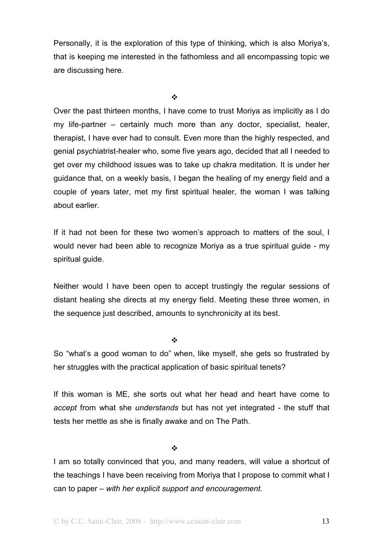Personally, it is the exploration of this type of thinking, which is also Moriya's, that is keeping me interested in the fathomless and all encompassing topic we are discussing here.

 $\star^*$ 

Over the past thirteen months, I have come to trust Moriya as implicitly as I do my life-partner – certainly much more than any doctor, specialist, healer, therapist, I have ever had to consult. Even more than the highly respected, and genial psychiatrist-healer who, some five years ago, decided that all I needed to get over my childhood issues was to take up chakra meditation. It is under her guidance that, on a weekly basis, I began the healing of my energy field and a couple of years later, met my first spiritual healer, the woman I was talking about earlier.

If it had not been for these two women's approach to matters of the soul, I would never had been able to recognize Moriya as a true spiritual guide - my spiritual guide.

Neither would I have been open to accept trustingly the regular sessions of distant healing she directs at my energy field. Meeting these three women, in the sequence just described, amounts to synchronicity at its best.

❖

So "what's a good woman to do" when, like myself, she gets so frustrated by her struggles with the practical application of basic spiritual tenets?

If this woman is ME, she sorts out what her head and heart have come to *accept* from what she *understands* but has not yet integrated - the stuff that tests her mettle as she is finally awake and on The Path.

 $\mathbf{A}$ 

I am so totally convinced that you, and many readers, will value a shortcut of the teachings I have been receiving from Moriya that I propose to commit what I can to paper – *with her explicit support and encouragement.*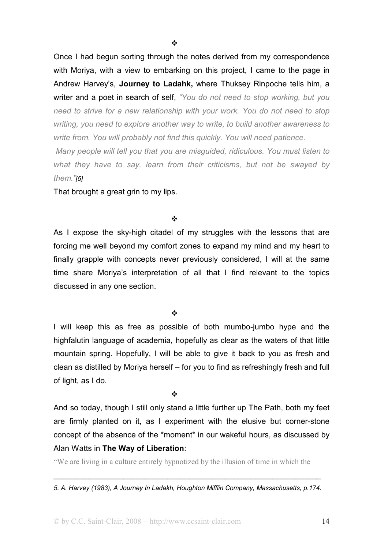Once I had begun sorting through the notes derived from my correspondence with Moriya, with a view to embarking on this project, I came to the page in Andrew Harvey's, **Journey to Ladahk,** where Thuksey Rinpoche tells him, a writer and a poet in search of self, *"You do not need to stop working, but you need to strive for a new relationship with your work. You do not need to stop writing, you need to explore another way to write, to build another awareness to write from. You will probably not find this quickly. You will need patience.* 

 *Many people will tell you that you are misguided, ridiculous. You must listen to what they have to say, learn from their criticisms, but not be swayed by them."[5]*

That brought a great grin to my lips.

 $\frac{1}{2}$ 

As I expose the sky-high citadel of my struggles with the lessons that are forcing me well beyond my comfort zones to expand my mind and my heart to finally grapple with concepts never previously considered, I will at the same time share Moriya's interpretation of all that I find relevant to the topics discussed in any one section.

 $\frac{1}{2}$ 

I will keep this as free as possible of both mumbo-jumbo hype and the highfalutin language of academia, hopefully as clear as the waters of that little mountain spring. Hopefully, I will be able to give it back to you as fresh and clean as distilled by Moriya herself – for you to find as refreshingly fresh and full of light, as I do.

 $\frac{1}{2}$ 

And so today, though I still only stand a little further up The Path, both my feet are firmly planted on it, as I experiment with the elusive but corner-stone concept of the absence of the \*moment\* in our wakeful hours, as discussed by Alan Watts in **The Way of Liberation**:

"We are living in a culture entirely hypnotized by the illusion of time in which the

\_\_\_\_\_\_\_\_\_\_\_\_\_\_\_\_\_\_\_\_\_\_\_\_\_\_\_\_\_\_\_\_\_\_\_\_\_\_\_\_\_\_\_\_\_\_\_\_\_\_\_\_\_\_\_\_\_\_\_\_\_ *5. A. Harvey (1983), A Journey In Ladakh, Houghton Mifflin Company, Massachusetts, p.174.*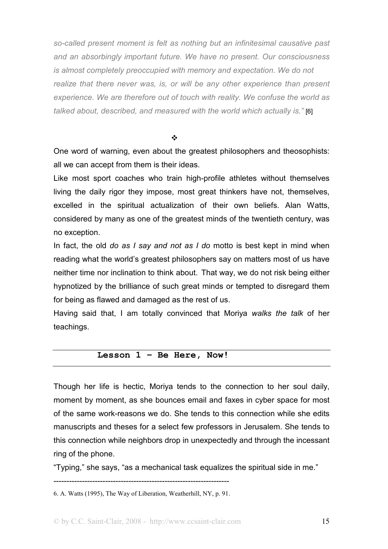*so-called present moment is felt as nothing but an infinitesimal causative past and an absorbingly important future. We have no present. Our consciousness is almost completely preoccupied with memory and expectation. We do not realize that there never was, is, or will be any other experience than present experience. We are therefore out of touch with reality. We confuse the world as talked about, described, and measured with the world which actually is."* [6]

 $\frac{1}{2}$ 

One word of warning, even about the greatest philosophers and theosophists: all we can accept from them is their ideas.

Like most sport coaches who train high-profile athletes without themselves living the daily rigor they impose, most great thinkers have not, themselves, excelled in the spiritual actualization of their own beliefs. Alan Watts, considered by many as one of the greatest minds of the twentieth century, was no exception.

In fact, the old *do as I say and not as I do* motto is best kept in mind when reading what the world's greatest philosophers say on matters most of us have neither time nor inclination to think about. That way, we do not risk being either hypnotized by the brilliance of such great minds or tempted to disregard them for being as flawed and damaged as the rest of us.

Having said that, I am totally convinced that Moriya *walks the talk* of her teachings.

## **Lesson 1 – Be Here, Now!**

Though her life is hectic, Moriya tends to the connection to her soul daily, moment by moment, as she bounces email and faxes in cyber space for most of the same work-reasons we do. She tends to this connection while she edits manuscripts and theses for a select few professors in Jerusalem. She tends to this connection while neighbors drop in unexpectedly and through the incessant ring of the phone.

"Typing," she says, "as a mechanical task equalizes the spiritual side in me."

<sup>--------------------------------------------------------------------</sup>  6. A. Watts (1995), The Way of Liberation, Weatherhill, NY, p. 91.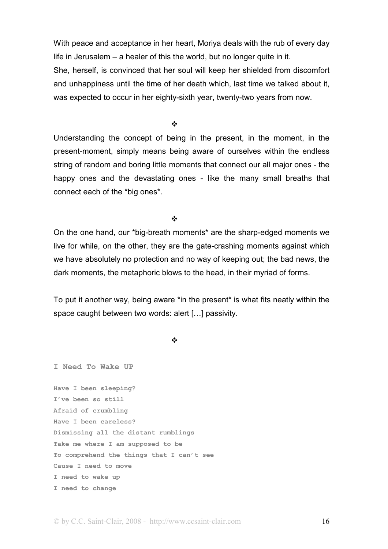With peace and acceptance in her heart, Moriya deals with the rub of every day life in Jerusalem – a healer of this the world, but no longer quite in it. She, herself, is convinced that her soul will keep her shielded from discomfort and unhappiness until the time of her death which, last time we talked about it, was expected to occur in her eighty-sixth year, twenty-two years from now.

 $\frac{1}{2}$ 

Understanding the concept of being in the present, in the moment, in the present-moment, simply means being aware of ourselves within the endless string of random and boring little moments that connect our all major ones - the happy ones and the devastating ones - like the many small breaths that connect each of the \*big ones\*.

 $\frac{1}{2}$ 

On the one hand, our \*big-breath moments\* are the sharp-edged moments we live for while, on the other, they are the gate-crashing moments against which we have absolutely no protection and no way of keeping out; the bad news, the dark moments, the metaphoric blows to the head, in their myriad of forms.

To put it another way, being aware \*in the present\* is what fits neatly within the space caught between two words: alert […] passivity.

❖

**I Need To Wake UP** 

**Have I been sleeping? I've been so still Afraid of crumbling Have I been careless? Dismissing all the distant rumblings Take me where I am supposed to be To comprehend the things that I can't see Cause I need to move I need to wake up I need to change**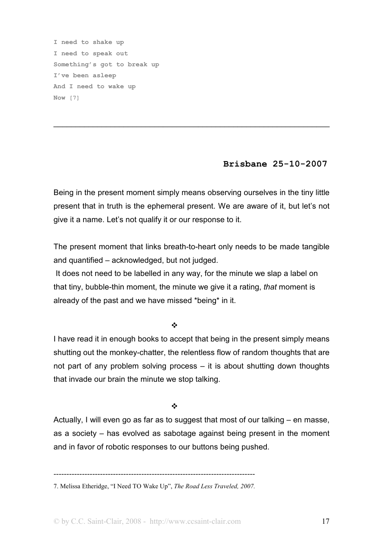```
I need to shake up 
I need to speak out 
Something's got to break up 
I've been asleep 
And I need to wake up 
Now [7]
```
## **Brisbane 25-10-2007**

Being in the present moment simply means observing ourselves in the tiny little present that in truth is the ephemeral present. We are aware of it, but let's not give it a name. Let's not qualify it or our response to it.

 $\mathcal{L}_\text{max} = \mathcal{L}_\text{max} = \mathcal{L}_\text{max} = \mathcal{L}_\text{max} = \mathcal{L}_\text{max} = \mathcal{L}_\text{max} = \mathcal{L}_\text{max} = \mathcal{L}_\text{max} = \mathcal{L}_\text{max} = \mathcal{L}_\text{max} = \mathcal{L}_\text{max} = \mathcal{L}_\text{max} = \mathcal{L}_\text{max} = \mathcal{L}_\text{max} = \mathcal{L}_\text{max} = \mathcal{L}_\text{max} = \mathcal{L}_\text{max} = \mathcal{L}_\text{max} = \mathcal{$ 

The present moment that links breath-to-heart only needs to be made tangible and quantified – acknowledged, but not judged.

 It does not need to be labelled in any way, for the minute we slap a label on that tiny, bubble-thin moment, the minute we give it a rating, *that* moment is already of the past and we have missed \*being\* in it.

## $\cdot$

I have read it in enough books to accept that being in the present simply means shutting out the monkey-chatter, the relentless flow of random thoughts that are not part of any problem solving process – it is about shutting down thoughts that invade our brain the minute we stop talking.

#### ❖

Actually, I will even go as far as to suggest that most of our talking – en masse, as a society – has evolved as sabotage against being present in the moment and in favor of robotic responses to our buttons being pushed.

<sup>------------------------------------------------------------------------------</sup>  7. Melissa Etheridge, "I Need TO Wake Up", *The Road Less Traveled, 2007.*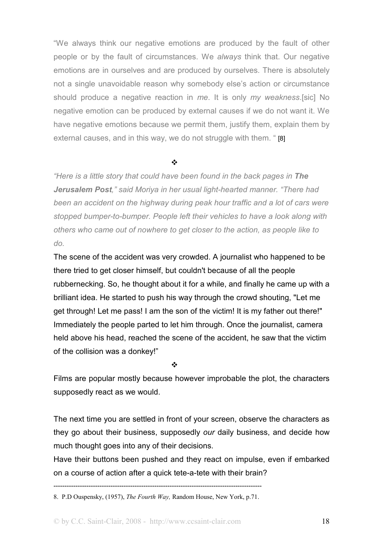"We always think our negative emotions are produced by the fault of other people or by the fault of circumstances. We *always* think that. Our negative emotions are in ourselves and are produced by ourselves. There is absolutely not a single unavoidable reason why somebody else's action or circumstance should produce a negative reaction in *me*. It is only *my weakness*.[sic] No negative emotion can be produced by external causes if we do not want it. We have negative emotions because we permit them, justify them, explain them by external causes, and in this way, we do not struggle with them. " [8]

### $\frac{1}{2}$

*"Here is a little story that could have been found in the back pages in The Jerusalem Post," said Moriya in her usual light-hearted manner. "There had been an accident on the highway during peak hour traffic and a lot of cars were stopped bumper-to-bumper. People left their vehicles to have a look along with others who came out of nowhere to get closer to the action, as people like to do.* 

The scene of the accident was very crowded. A journalist who happened to be there tried to get closer himself, but couldn't because of all the people rubbernecking. So, he thought about it for a while, and finally he came up with a brilliant idea. He started to push his way through the crowd shouting, "Let me get through! Let me pass! I am the son of the victim! It is my father out there!" Immediately the people parted to let him through. Once the journalist, camera held above his head, reached the scene of the accident, he saw that the victim of the collision was a donkey!"

 $\frac{1}{2}$ 

Films are popular mostly because however improbable the plot, the characters supposedly react as we would.

The next time you are settled in front of your screen, observe the characters as they go about their business, supposedly *our* daily business, and decide how much thought goes into any of their decisions.

Have their buttons been pushed and they react on impulse, even if embarked on a course of action after a quick tete-a-tete with their brain?

<sup>-----------------------------------------------------------------------------------------------</sup> 8. P.D Ouspensky, (1957), *The Fourth Way,* Random House, New York, p.71.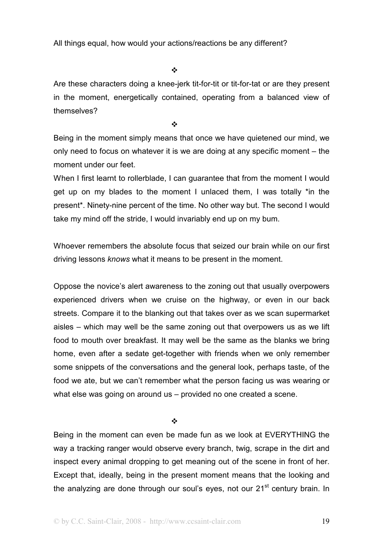All things equal, how would your actions/reactions be any different?

 $\frac{1}{2}$ 

Are these characters doing a knee-jerk tit-for-tit or tit-for-tat or are they present in the moment, energetically contained, operating from a balanced view of themselves?

 $\cdot$ 

Being in the moment simply means that once we have quietened our mind, we only need to focus on whatever it is we are doing at any specific moment – the moment under our feet.

When I first learnt to rollerblade, I can guarantee that from the moment I would get up on my blades to the moment I unlaced them, I was totally \*in the present\*. Ninety-nine percent of the time. No other way but. The second I would take my mind off the stride, I would invariably end up on my bum.

Whoever remembers the absolute focus that seized our brain while on our first driving lessons *knows* what it means to be present in the moment.

Oppose the novice's alert awareness to the zoning out that usually overpowers experienced drivers when we cruise on the highway, or even in our back streets. Compare it to the blanking out that takes over as we scan supermarket aisles – which may well be the same zoning out that overpowers us as we lift food to mouth over breakfast. It may well be the same as the blanks we bring home, even after a sedate get-together with friends when we only remember some snippets of the conversations and the general look, perhaps taste, of the food we ate, but we can't remember what the person facing us was wearing or what else was going on around us – provided no one created a scene.

 $\frac{1}{2}$ 

Being in the moment can even be made fun as we look at EVERYTHING the way a tracking ranger would observe every branch, twig, scrape in the dirt and inspect every animal dropping to get meaning out of the scene in front of her. Except that, ideally, being in the present moment means that the looking and the analyzing are done through our soul's eyes, not our 21<sup>st</sup> century brain. In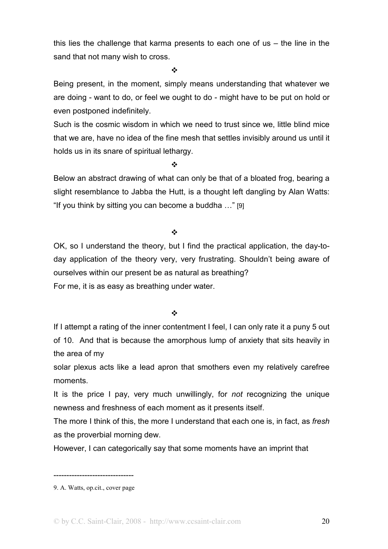this lies the challenge that karma presents to each one of us – the line in the sand that not many wish to cross.

❖

Being present, in the moment, simply means understanding that whatever we are doing - want to do, or feel we ought to do - might have to be put on hold or even postponed indefinitely.

Such is the cosmic wisdom in which we need to trust since we, little blind mice that we are, have no idea of the fine mesh that settles invisibly around us until it holds us in its snare of spiritual lethargy.

 $\frac{1}{2}$ 

Below an abstract drawing of what can only be that of a bloated frog, bearing a slight resemblance to Jabba the Hutt, is a thought left dangling by Alan Watts: "If you think by sitting you can become a buddha …" [9]

 $\cdot$ 

OK, so I understand the theory, but I find the practical application, the day-today application of the theory very, very frustrating. Shouldn't being aware of ourselves within our present be as natural as breathing? For me, it is as easy as breathing under water.

 $\frac{1}{2}$ 

If I attempt a rating of the inner contentment I feel, I can only rate it a puny 5 out of 10. And that is because the amorphous lump of anxiety that sits heavily in the area of my

solar plexus acts like a lead apron that smothers even my relatively carefree moments.

It is the price I pay, very much unwillingly, for *not* recognizing the unique newness and freshness of each moment as it presents itself.

The more I think of this, the more I understand that each one is, in fact, as *fresh* as the proverbial morning dew.

However, I can categorically say that some moments have an imprint that

<sup>-------------------------------</sup>  9. A. Watts, op.cit., cover page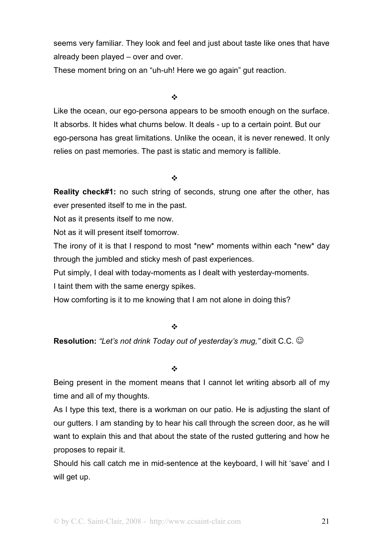seems very familiar. They look and feel and just about taste like ones that have already been played – over and over.

These moment bring on an "uh-uh! Here we go again" gut reaction.

## $\cdot$

Like the ocean, our ego-persona appears to be smooth enough on the surface. It absorbs. It hides what churns below. It deals - up to a certain point. But our ego-persona has great limitations. Unlike the ocean, it is never renewed. It only relies on past memories. The past is static and memory is fallible.

## $\frac{1}{2}$

**Reality check#1:** no such string of seconds, strung one after the other, has ever presented itself to me in the past.

Not as it presents itself to me now.

Not as it will present itself tomorrow.

The irony of it is that I respond to most \*new\* moments within each \*new\* day through the jumbled and sticky mesh of past experiences.

Put simply, I deal with today-moments as I dealt with yesterday-moments. I taint them with the same energy spikes.

How comforting is it to me knowing that I am not alone in doing this?

## $\frac{1}{2}$

**Resolution:** *"Let's not drink Today out of yesterday's mug,"* dixit C.C.

## $\frac{1}{2}$

Being present in the moment means that I cannot let writing absorb all of my time and all of my thoughts.

As I type this text, there is a workman on our patio. He is adjusting the slant of our gutters. I am standing by to hear his call through the screen door, as he will want to explain this and that about the state of the rusted guttering and how he proposes to repair it.

Should his call catch me in mid-sentence at the keyboard, I will hit 'save' and I will get up.